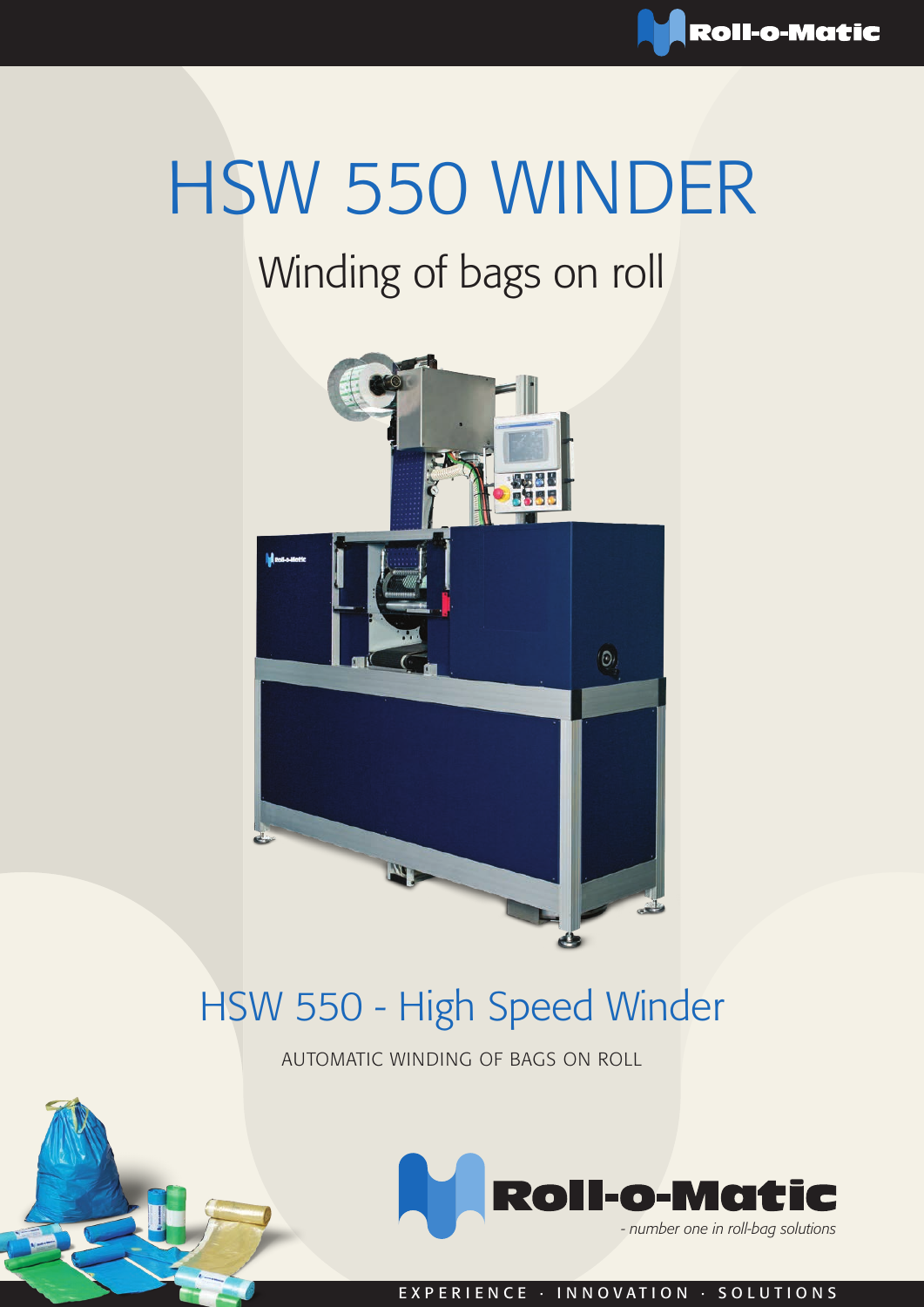

# HSW 550 WINDER

## Winding of bags on roll



## HSW 550 - High Speed Winder

AUTOMATIC WINDING OF BAGS ON ROLL



EXPERIENCE · INNOVATION · SOLUTIONS